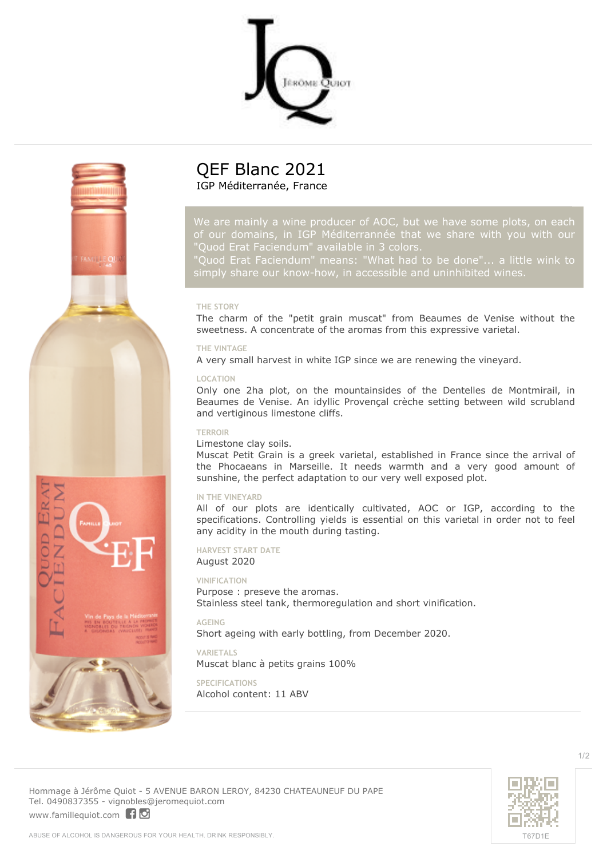



# **QEF Blanc 2021** IGP Méditerranée, France

*of our domains, in IGP Méditerrannée that we share with you with our "Quod Erat Faciendum" available in 3 colors.*

*"Quod Erat Faciendum" means: "What had to be done"... a little wink to*

## **THE STORY**

The charm of the "petit grain muscat" from Beaumes de Venise without the sweetness. A concentrate of the aromas from this expressive varietal.

#### **THE VINTAGE**

A very small harvest in white IGP since we are renewing the vineyard.

#### **LOCATION**

Only one 2ha plot, on the mountainsides of the Dentelles de Montmirail, in Beaumes de Venise. An idyllic Provençal crèche setting between wild scrubland and vertiginous limestone cliffs.

#### **TERROIR**

## Limestone clay soils.

Muscat Petit Grain is a greek varietal, established in France since the arrival of the Phocaeans in Marseille. It needs warmth and a very good amount of sunshine, the perfect adaptation to our very well exposed plot.

# **IN THE VINEYARD**

All of our plots are identically cultivated, AOC or IGP, according to the specifications. Controlling yields is essential on this varietal in order not to feel any acidity in the mouth during tasting.

#### **HARVEST START DATE**

#### August 2020

#### **VINIFICATION**

Purpose : preseve the aromas. Stainless steel tank, thermoregulation and short vinification.

**AGEING** Short ageing with early bottling, from December 2020.

#### **VARIETALS**

Muscat blanc à petits grains 100%

## **SPECIFICATIONS** Alcohol content: 11 ABV



**Hommage à Jérôme Quiot** - 5 AVENUE BARON LEROY, 84230 CHATEAUNEUF DU PAPE Tel. 0490837355 - vignobles@jeromequiot.com

<www.famillequiot.com>[10]

1/2